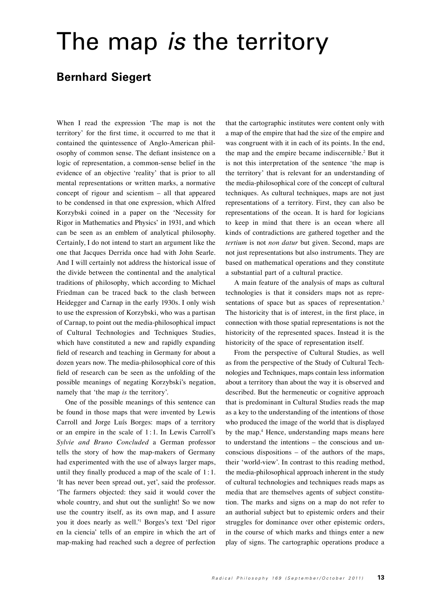# The map *is* the territory

# **Bernhard Siegert**

When I read the expression 'The map is not the territory' for the first time, it occurred to me that it contained the quintessence of Anglo-American philosophy of common sense. The defiant insistence on a logic of representation, a common-sense belief in the evidence of an objective 'reality' that is prior to all mental representations or written marks, a normative concept of rigour and scientism – all that appeared to be condensed in that one expression, which Alfred Korzybski coined in a paper on the 'Necessity for Rigor in Mathematics and Physics' in 1931, and which can be seen as an emblem of analytical philosophy. Certainly, I do not intend to start an argument like the one that Jacques Derrida once had with John Searle. And I will certainly not address the historical issue of the divide between the continental and the analytical traditions of philosophy, which according to Michael Friedman can be traced back to the clash between Heidegger and Carnap in the early 1930s. I only wish to use the expression of Korzybski, who was a partisan of Carnap, to point out the media-philosophical impact of Cultural Technologies and Techniques Studies, which have constituted a new and rapidly expanding field of research and teaching in Germany for about a dozen years now. The media-philosophical core of this field of research can be seen as the unfolding of the possible meanings of negating Korzybski's negation, namely that 'the map *is* the territory'.

One of the possible meanings of this sentence can be found in those maps that were invented by Lewis Carroll and Jorge Luís Borges: maps of a territory or an empire in the scale of 1 : 1. In Lewis Carroll's *Sylvie and Bruno Concluded* a German professor tells the story of how the map-makers of Germany had experimented with the use of always larger maps, until they finally produced a map of the scale of  $1:1$ . 'It has never been spread out, yet', said the professor. 'The farmers objected: they said it would cover the whole country, and shut out the sunlight! So we now use the country itself, as its own map, and I assure you it does nearly as well.'1 Borges's text 'Del rigor en la ciencia' tells of an empire in which the art of map-making had reached such a degree of perfection

that the cartographic institutes were content only with a map of the empire that had the size of the empire and was congruent with it in each of its points. In the end, the map and the empire became indiscernible.2 But it is not this interpretation of the sentence 'the map is the territory' that is relevant for an understanding of the media-philosophical core of the concept of cultural techniques. As cultural techniques, maps are not just representations of a territory. First, they can also be representations of the ocean. It is hard for logicians to keep in mind that there is an ocean where all kinds of contradictions are gathered together and the *tertium* is not *non datur* but given. Second, maps are not just representations but also instruments. They are based on mathematical operations and they constitute a substantial part of a cultural practice.

A main feature of the analysis of maps as cultural technologies is that it considers maps not as representations of space but as spaces of representation.<sup>3</sup> The historicity that is of interest, in the first place, in connection with those spatial representations is not the historicity of the represented spaces. Instead it is the historicity of the space of representation itself.

From the perspective of Cultural Studies, as well as from the perspective of the Study of Cultural Technologies and Techniques, maps contain less information about a territory than about the way it is observed and described. But the hermeneutic or cognitive approach that is predominant in Cultural Studies reads the map as a key to the understanding of the intentions of those who produced the image of the world that is displayed by the map.<sup>4</sup> Hence, understanding maps means here to understand the intentions – the conscious and unconscious dispositions – of the authors of the maps, their 'world-view'. In contrast to this reading method, the media-philosophical approach inherent in the study of cultural technologies and techniques reads maps as media that are themselves agents of subject constitution. The marks and signs on a map do not refer to an authorial subject but to epistemic orders and their struggles for dominance over other epistemic orders, in the course of which marks and things enter a new play of signs. The cartographic operations produce a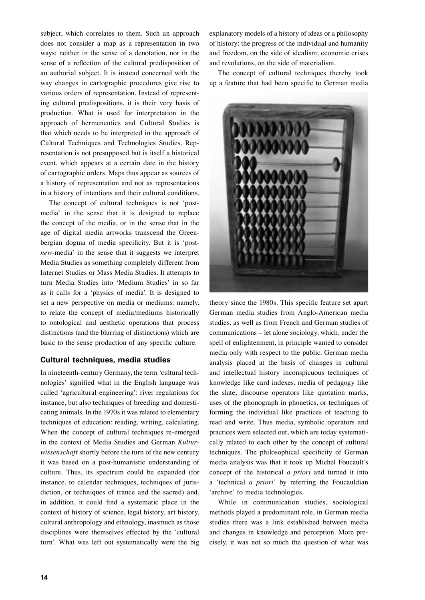subject, which correlates to them. Such an approach does not consider a map as a representation in two ways: neither in the sense of a denotation, nor in the sense of a reflection of the cultural predisposition of an authorial subject. It is instead concerned with the way changes in cartographic procedures give rise to various orders of representation. Instead of representing cultural predispositions, it is their very basis of production. What is used for interpretation in the approach of hermeneutics and Cultural Studies is that which needs to be interpreted in the approach of Cultural Techniques and Technologies Studies. Representation is not presupposed but is itself a historical event, which appears at a certain date in the history of cartographic orders. Maps thus appear as sources of a history of representation and not as representations in a history of intentions and their cultural conditions.

The concept of cultural techniques is not 'postmedia' in the sense that it is designed to replace the concept of the media, or in the sense that in the age of digital media artworks transcend the Greenbergian dogma of media specificity. But it is 'post*new*-media' in the sense that it suggests we interpret Media Studies as something completely different from Internet Studies or Mass Media Studies. It attempts to turn Media Studies into 'Medium Studies' in so far as it calls for a 'physics of media'. It is designed to set a new perspective on media or mediums: namely, to relate the concept of media/mediums historically to ontological and aesthetic operations that process distinctions (and the blurring of distinctions) which are basic to the sense production of any specific culture.

## **Cultural techniques, media studies**

In nineteenth-century Germany, the term 'cultural technologies' signified what in the English language was called 'agricultural engineering': river regulations for instance, but also techniques of breeding and domesticating animals. In the 1970s it was related to elementary techniques of education: reading, writing, calculating. When the concept of cultural techniques re-emerged in the context of Media Studies and German *Kulturwissenschaft* shortly before the turn of the new century it was based on a post-humanistic understanding of culture. Thus, its spectrum could be expanded (for instance, to calendar techniques, techniques of jurisdiction, or techniques of trance and the sacred) and, in addition, it could find a systematic place in the context of history of science, legal history, art history, cultural anthropology and ethnology, inasmuch as those disciplines were themselves effected by the 'cultural turn'. What was left out systematically were the big

explanatory models of a history of ideas or a philosophy of history: the progress of the individual and humanity and freedom, on the side of idealism; economic crises and revolutions, on the side of materialism.

The concept of cultural techniques thereby took up a feature that had been specific to German media



theory since the 1980s. This specific feature set apart German media studies from Anglo-American media studies, as well as from French and German studies of communications – let alone sociology, which, under the spell of enlightenment, in principle wanted to consider media only with respect to the public. German media analysis placed at the basis of changes in cultural and intellectual history inconspicuous techniques of knowledge like card indexes, media of pedagogy like the slate, discourse operators like quotation marks, uses of the phonograph in phonetics, or techniques of forming the individual like practices of teaching to read and write. Thus media, symbolic operators and practices were selected out, which are today systematically related to each other by the concept of cultural techniques. The philosophical specificity of German media analysis was that it took up Michel Foucault's concept of the historical *a priori* and turned it into a 'technical *a priori*' by referring the Foucauldian 'archive' to media technologies.

While in communication studies, sociological methods played a predominant role, in German media studies there was a link established between media and changes in knowledge and perception. More precisely, it was not so much the question of what was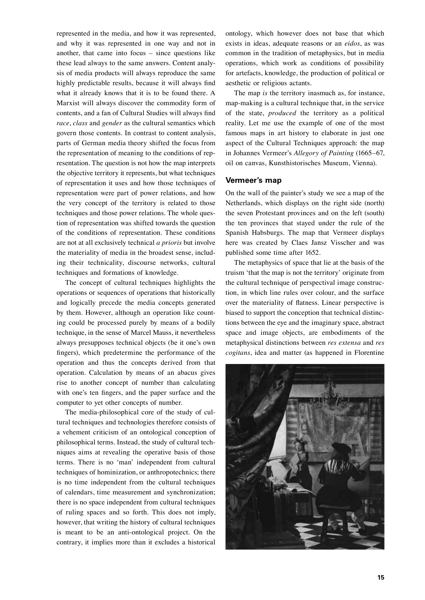represented in the media, and how it was represented, and why it was represented in one way and not in another, that came into focus – since questions like these lead always to the same answers. Content analysis of media products will always reproduce the same highly predictable results, because it will always find what it already knows that it is to be found there. A Marxist will always discover the commodity form of contents, and a fan of Cultural Studies will always find *race*, *class* and *gender* as the cultural semantics which govern those contents. In contrast to content analysis, parts of German media theory shifted the focus from the representation of meaning to the conditions of representation. The question is not how the map interprets the objective territory it represents, but what techniques of representation it uses and how those techniques of representation were part of power relations, and how the very concept of the territory is related to those techniques and those power relations. The whole question of representation was shifted towards the question of the conditions of representation. These conditions are not at all exclusively technical *a prioris* but involve the materiality of media in the broadest sense, including their technicality, discourse networks, cultural techniques and formations of knowledge.

The concept of cultural techniques highlights the operations or sequences of operations that historically and logically precede the media concepts generated by them. However, although an operation like counting could be processed purely by means of a bodily technique, in the sense of Marcel Mauss, it nevertheless always presupposes technical objects (be it one's own fingers), which predetermine the performance of the operation and thus the concepts derived from that operation. Calculation by means of an abacus gives rise to another concept of number than calculating with one's ten fingers, and the paper surface and the computer to yet other concepts of number.

The media-philosophical core of the study of cultural techniques and technologies therefore consists of a vehement criticism of an ontological conception of philosophical terms. Instead, the study of cultural techniques aims at revealing the operative basis of those terms. There is no 'man' independent from cultural techniques of hominization, or anthropotechnics; there is no time independent from the cultural techniques of calendars, time measurement and synchronization; there is no space independent from cultural techniques of ruling spaces and so forth. This does not imply, however, that writing the history of cultural techniques is meant to be an anti-ontological project. On the contrary, it implies more than it excludes a historical

ontology, which however does not base that which exists in ideas, adequate reasons or an *eidos*, as was common in the tradition of metaphysics, but in media operations, which work as conditions of possibility for artefacts, knowledge, the production of political or aesthetic or religious actants.

The map *is* the territory inasmuch as, for instance, map-making is a cultural technique that, in the service of the state, *produced* the territory as a political reality. Let me use the example of one of the most famous maps in art history to elaborate in just one aspect of the Cultural Techniques approach: the map in Johannes Vermeer's *Allegory of Painting* (1665–67, oil on canvas, Kunsthistorisches Museum, Vienna).

### **Vermeer's map**

On the wall of the painter's study we see a map of the Netherlands, which displays on the right side (north) the seven Protestant provinces and on the left (south) the ten provinces that stayed under the rule of the Spanish Habsburgs. The map that Vermeer displays here was created by Claes Jansz Visscher and was published some time after 1652.

The metaphysics of space that lie at the basis of the truism 'that the map is not the territory' originate from the cultural technique of perspectival image construction, in which line rules over colour, and the surface over the materiality of flatness. Linear perspective is biased to support the conception that technical distinctions between the eye and the imaginary space, abstract space and image objects, are embodiments of the metaphysical distinctions between *res extensa* and *res cogitans*, idea and matter (as happened in Florentine